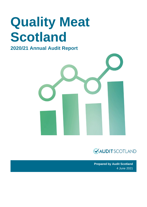# **Quality Meat Scotland**

### **2020/21 Annual Audit Report**





**Prepared by Audit Scotland** 4 June 2021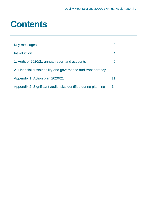### **Contents**

| Key messages                                                   | 3  |
|----------------------------------------------------------------|----|
| <b>Introduction</b>                                            | 4  |
| 1. Audit of 2020/21 annual report and accounts                 | 6  |
| 2. Financial sustainability and governance and transparency    | 9  |
| Appendix 1. Action plan 2020/21                                | 11 |
| Appendix 2. Significant audit risks identified during planning | 14 |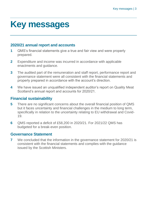### <span id="page-2-0"></span>**Key messages**

#### **2020/21 annual report and accounts**

- **1** QMS's financial statements give a true and fair view and were properly prepared.
- **2** Expenditure and income was incurred in accordance with applicable enactments and guidance.
- **3** The audited part of the remuneration and staff report, performance report and governance statement were all consistent with the financial statements and properly prepared in accordance with the account's direction.
- **4** We have issued an unqualified independent auditor's report on Quality Meat Scotland's annual report and accounts for 2020/21.

#### **Financial sustainability**

- **5** There are no significant concerns about the overall financial position of QMS but it faces uncertainty and financial challenges in the medium to long term, specifically in relation to the uncertainty relating to EU withdrawal and Covid-19.
- **6** QMS reported a deficit of £58,200 in 2020/21. For 2021/22 QMS has budgeted for a break-even position.

#### **Governance Statement**

**7** We concluded that the information in the governance statement for 2020/21 is consistent with the financial statements and complies with the guidance issued by the Scottish Ministers.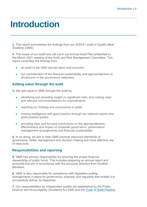### <span id="page-3-0"></span>**Introduction**

**1.** This report summarises the findings from our 2020/21 audit of Quality Meat Scotland (QMS).

**2.** The scope of our audit was set out in our Annual Audit Plan presented to the March 2021 meeting of the Audit and Risk Management Committee. This report comprises the findings from:

- an audit of the QMS annual report and accounts
- our consideration of the financial sustainability and appropriateness of disclosures in the governance statement.

#### **Adding value through the audit**

**3.** We add value to QMS through the audit by:

- identifying and providing insight on significant risks, and making clear and relevant recommendations for improvements
- reporting our findings and conclusions in public
- sharing intelligence and good practice through our national reports and good practice guides
- providing clear and focused conclusions on the appropriateness, effectiveness and impact of corporate governance, performance management arrangements and financial sustainability

**4.** In so doing, we aim to help QMS promote improved standards of governance, better management and decision making and more effective use of resources.

#### **Responsibilities and reporting**

**5.** QMS has primary responsibility for ensuring the proper financial stewardship of public funds. This includes preparing an annual report and accounts that are in accordance with the accounts direction from Scottish **Ministers** 

**6.** QMS is also responsible for compliance with legislation putting arrangements in place for governance, propriety and regularity that enable it to successfully deliver its objectives.

**7.** Our responsibilities as independent auditor are established by the Public Finance and Accountability (Scotland) Act 2000 and the *[Code of Audit Practice](https://www.audit-scotland.gov.uk/report/code-of-audit-practice-2016)*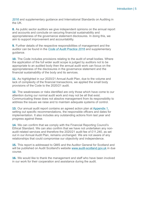*[2016](https://www.audit-scotland.gov.uk/report/code-of-audit-practice-2016)* and supplementary guidance and International Standards on Auditing in the UK.

**8.** As public sector auditors we give independent opinions on the annual report and accounts and conclude on securing financial sustainability and appropriateness of the governance statement disclosures. In doing this, we aim to support improvement and accountability.

**9.** Further details of the respective responsibilities of management and the auditor can be found in the *[Code of Audit Practice 2016](http://auditscotland.spideronline.co.uk/report/code-of-audit-practice-2016)* and supplementary guidance.

**10.** The Code includes provisions relating to the audit of small bodies. Where the application of the full wider audit scope is judged by auditors not to be appropriate to an audited body then the annual audit work can focus on the appropriateness of the disclosures in the governance statement and the financial sustainability of the body and its services.

**11.** As highlighted in our 2020/21 Annual Audit Plan, due to the volume and lack of complexity of the financial transactions, we applied the small body provisions of the Code to the 2020/21 audit.

**12.** The weaknesses or risks identified are only those which have come to our attention during our normal audit work and may not be all that exist. Communicating these does not absolve management from its responsibility to address the issues we raise and to maintain adequate systems of control.

**13.** Our annual audit report contains an agreed action plan at [Appendix 1,](#page-10-0) setting out specific recommendations, the responsible officers and dates for implementation. It also includes any outstanding actions from last year and progress against these.

**14.** We can confirm that we comply with the Financial Reporting Council's Ethical Standard. We can also confirm that we have not undertaken any nonaudit related services and therefore the 2020/21 audit fee of £11,240, as set out in our Annual Audit Plan, remains unchanged. We are not aware of any relationships that could compromise our objectivity and independence.

**15.** This report is addressed to QMS and the Auditor General for Scotland and will be published on Audit Scotland's website [www.audit-scotland.gov.uk](http://www.audit-scotland.gov.uk/) in due course.

**16.** We would like to thank the management and staff who have been involved in our work for their cooperation and assistance during the audit.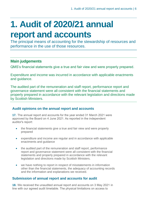## <span id="page-5-0"></span>**1. Audit of 2020/21 annual report and accounts**

The principal means of accounting for the stewardship of resources and performance in the use of those resources.

#### **Main judgements**

QMS's financial statements give a true and fair view and were properly prepared.

Expenditure and income was incurred in accordance with applicable enactments and guidance.

The audited part of the remuneration and staff report, performance report and governance statement were all consistent with the financial statements and properly prepared in accordance with the relevant legislation and directions made by Scottish Ministers.

#### **Audit opinions on the annual report and accounts**

**17.** The annual report and accounts for the year ended 31 March 2021 were approved by the Board on 4 June 2021. As reported in the independent auditor's report:

- the financial statements give a true and fair view and were properly prepared
- expenditure and income are regular and in accordance with applicable enactments and guidance
- the audited part of the remuneration and staff report, performance report and governance statement were all consistent with the financial statements and properly prepared in accordance with the relevant legislation and directions made by Scottish Ministers.
- we have nothing to report in respect of misstatements in information other than the financial statements, the adequacy of accounting records and the information and explanations we received.

#### **Submission of annual report and accounts for audit**

**18.** We received the unaudited annual report and accounts on 3 May 2021 in line with our agreed audit timetable. The physical limitations on access to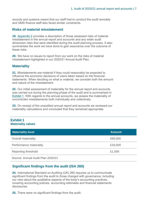records and systems meant that our staff had to conduct the audit remotely and QMS finance staff also faced similar constraints.

#### **Risks of material misstatement**

**19.** [Appendix 2](#page-13-0) provides a description of those assessed risks of material misstatement in the annual report and accounts and any wider audit dimension risks that were identified during the audit planning process. It also summarises the work we have done to gain assurance over the outcome of these risks.

**20.** We have no issues to report from our work on the risks of material misstatement highlighted in our 2020/21 Annual Audit Plan.

#### **Materiality**

**21.** Misstatements are material if they could reasonably be expected to influence the economic decisions of users taken based on the financial statements. When deciding on what is material, we consider both the amount and nature of the misstatement.

**22.** Our initial assessment of materiality for the annual report and accounts was carried out during the planning phase of the audit and is summarised in [Exhibit 1.](#page-6-0) With regards to the annual accounts, we assess the materiality of uncorrected misstatements both individually and collectively.

**23.** On receipt of the unaudited annual report and accounts we reviewed our materiality calculations and concluded that they remained appropriate.

#### <span id="page-6-0"></span>**Exhibit 1 Materiality values**

| <b>Materiality level</b>          | <b>Amount</b> |
|-----------------------------------|---------------|
| <b>Overall materiality</b>        | £65,000       |
| Performance materiality           | £33,000       |
| Reporting threshold               | £1,000        |
| Source: Annual Audit Plan 2020/21 |               |

#### **Significant findings from the audit (ISA 260)**

**24.** International Standard on Auditing (UK) 260 requires us to communicate significant findings from the audit to those charged with governance, including our view about the qualitative aspects of the body's accounting practices, covering accounting policies, accounting estimates and financial statements disclosures.

**25.** There were no significant findings from the audit.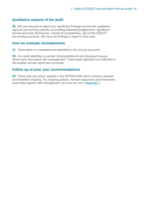#### **Qualitative aspects of the audit**

**26.** We are required to report any significant findings around the qualitative aspects (accounting policies, accounting estimates/judgements, significant annual accounts disclosures, impact of uncertainties, etc) of the 2020/21 accounting practices. We have no findings to report in this area.

#### **How we evaluate misstatements**

27. There were no misstatements identified in the annual accounts.

**28.** Our audit identified a number of presentational and disclosure issues which were discussed with management. These were adjusted and reflected in the audited annual report and accounts.

#### **Follow up of prior year recommendations**

**29.** There was one action agreed in the 2019/20 AAR which remains relevant and therefore ongoing. For ongoing actions, revised responses and timescales have been agreed with management, and are set out i[n Appendix 1.](#page-10-0)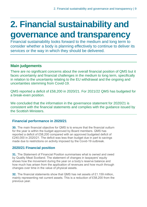### <span id="page-8-0"></span>**2. Financial sustainability and governance and transparency**

Financial sustainability looks forward to the medium and long term to consider whether a body is planning effectively to continue to deliver its services or the way in which they should be delivered.

#### **Main judgements**

There are no significant concerns about the overall financial position of QMS but it faces uncertainty and financial challenges in the medium to long term, specifically in relation to the uncertainty relating to the EU withdrawal and the ongoing and uncertainties stemming from Covid-19.

QMS reported a deficit of £58,200 in 2020/21. For 2021/22 QMS has budgeted for a break-even position.

We concluded that the information in the governance statement for 2020/21 is consistent with the financial statements and complies with the guidance issued by the Scottish Ministers.

#### **Financial performance in 2020/21**

**30.** The main financial objective for QMS is to ensure that the financial outturn for the year is within the budget approved by Board members. QMS has reported a deficit of £58,200 compared with an approved budgeted deficit of £240,000 in 2020/21. The deficit was less than budget due in part to savings made due to restrictions on activity imposed by the Covid-19 outbreak.

#### **2020/21 Financial position**

**31.** The Statement of Financial Position summarises what is owned and owed by Quality Meat Scotland. The statement of changes in taxpayers' equity shows how the movement during the year on a body's reserve balance and how much has arisen from the application of revenues and how much through changes over time in the value of physical assets.

**32.** The financial statements show that QMS has net assets of £1.159 million, mainly representing net current assets. This is a reduction of £58,200 from the previous year.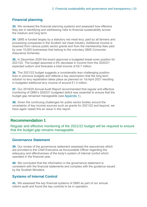#### **Financial planning**

**33.** We reviewed the financial planning systems and assessed how effective they are in identifying and addressing risks to financial sustainability across the medium and long term.

**34.** QMS is funded largely by a statutory red meat levy, paid by all farmers and processing companies in the Scottish red meat industry. Additional income is received from various public sector grants and from the membership fees paid by over 10,000 businesses that belong to the voluntary QMS Consumer Assurance Schemes.

**35.** In December 2020 the board approved a budgeted break-even position for 2021/22. The budget assumed a 9% decrease in income from the 2020/21 expected outturn and forecasts a total income of £6.7 million.

**36.** The 2021/22 budget suggests a considerably less challenging position than in previous budgets and reflects a key assumption that the long term solution to levy repatriation takes place as planned on 1st April 2021 resulting in budgeted additional levy income of around £1.3 million.

<span id="page-9-0"></span>**37.** Our 2019/20 Annual Audit Report recommended that regular and effective monitoring of QMS's 2020/21 budgeted deficit was essential to ensure that the budget gap remained manageable (see [Appendix 1\)](#page-10-0).

**38.** Given the continuing challenges for public sector bodies around the uncertainty of key income sources such as grants for 2021/22 and beyond, we have again raised this an issue in this report.

#### **Recommendation 1**

Regular and effective monitoring of the 2021/22 budget will be required to ensure that the budget gap remains manageable.

#### **Governance Statement**

**39.** Our review of the governance statement assessed the assurances which are provided to the Chief Executive as Accountable Officer regarding the adequacy and effectiveness of the body's system of internal control which operated in the financial year.

**40.** We concluded that the information in the governance statement is consistent with the financial statements and complies with the guidance issued by the Scottish Ministers.

#### **Systems of Internal Control**

**41.** We assessed the key financial systems of QMS as part of our annual interim audit and found the key controls to be in operation.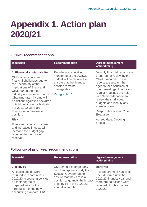### <span id="page-10-0"></span>**Appendix 1. Action plan 2020/21**

#### **2020/21 recommendations**

| <b>Issue/risk</b>                                                                                                                                                                                                                                                                                                                                                       | <b>Recommendation</b>                                                                                                                                             | <b>Agreed management</b><br>action/timing                                                                                                                                                                                                                                                                                                                               |
|-------------------------------------------------------------------------------------------------------------------------------------------------------------------------------------------------------------------------------------------------------------------------------------------------------------------------------------------------------------------------|-------------------------------------------------------------------------------------------------------------------------------------------------------------------|-------------------------------------------------------------------------------------------------------------------------------------------------------------------------------------------------------------------------------------------------------------------------------------------------------------------------------------------------------------------------|
| 1. Financial sustainability<br>QMS faces significant<br>financial challenges due to<br>the uncertainty of the<br>implications of Brexit and<br>Covid-19 on the meat<br>industry and wider economy.<br>Obtaining grant income will<br>be difficult against a backdrop<br>of tight public sector budgets.<br>For 2021/22 QMS are<br>forecasting a break-even<br>position. | Regular and effective<br>monitoring of the 2021/22<br>budget will be required to<br>ensure that the financial<br>position remains<br>manageable.<br>Paragraph 37. | Monthly financial reports are<br>prepared for review by the<br><b>Chief Executive. These</b><br>reports are also on the<br>agenda for discussion at<br>board meetings. In addition,<br>regular meetings are held<br>with Senior Managers to<br>review their individual<br>budgets and identify any<br>areas of issue.<br>Responsible officer: Chief<br><b>Executive</b> |
| <b>Risk</b>                                                                                                                                                                                                                                                                                                                                                             |                                                                                                                                                                   | Agreed date: Ongoing                                                                                                                                                                                                                                                                                                                                                    |
| Future reductions in income<br>and increases in costs will<br>increase the budget gap,                                                                                                                                                                                                                                                                                  |                                                                                                                                                                   | process.                                                                                                                                                                                                                                                                                                                                                                |

#### **Follow-up of prior year recommendations**

requiring further use of

reserves.

| <b>Issue/risk</b>                                                                                                                                                                            | <b>Recommendation</b>                                                                                                                                                         | <b>Agreed management</b><br>action/timing                                                                                                                    |
|----------------------------------------------------------------------------------------------------------------------------------------------------------------------------------------------|-------------------------------------------------------------------------------------------------------------------------------------------------------------------------------|--------------------------------------------------------------------------------------------------------------------------------------------------------------|
| <b>2. IFRS 16</b>                                                                                                                                                                            | QMS should engage early                                                                                                                                                       | <b>Deferred</b>                                                                                                                                              |
| All public bodies were<br>required to report in their<br>2019/20 accounting policies<br>on their degree of<br>preparedness for the<br>introduction of the new<br>accounting standard IFRS 16 | with their sponsor body the<br><b>Scottish Government to</b><br>ensure that they are in a<br>position to quantify the impact<br>of IFRS 16 in the 2021/22<br>annual accounts. | This requirement has since<br>been deferred until the<br>2022/23 financial year and<br>therefore no actions were<br>required of public bodies in<br>2020/21. |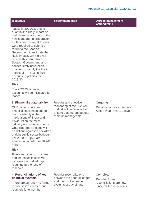| Issue/risk                                                                                                                                                                                                                                                                                                                                                                                                                                                                   | <b>Recommendation</b>                                                                                        | <b>Agreed management</b><br>action/timing                 |
|------------------------------------------------------------------------------------------------------------------------------------------------------------------------------------------------------------------------------------------------------------------------------------------------------------------------------------------------------------------------------------------------------------------------------------------------------------------------------|--------------------------------------------------------------------------------------------------------------|-----------------------------------------------------------|
| leases in 2021/22, and to<br>quantify the likely impact on<br>their financial accounts of this<br>new standard. In preparation<br>for this disclosure, all bodies<br>were required to submit a<br>return to the Scottish<br>Government to estimate the<br>likely impact. QMS did not<br>receive this return from<br>Scottish Government, and<br>consequently have been<br>unable to quantify the likely<br>impact of IFRS 16 in their<br>accounting policies for<br>2019/20. |                                                                                                              |                                                           |
| <b>Risk</b>                                                                                                                                                                                                                                                                                                                                                                                                                                                                  |                                                                                                              |                                                           |
| The 2021/22 financial<br>accounts will be misstated for<br>leases.                                                                                                                                                                                                                                                                                                                                                                                                           |                                                                                                              |                                                           |
| 3. Financial sustainability                                                                                                                                                                                                                                                                                                                                                                                                                                                  | Regular and effective                                                                                        | <b>Ongoing</b>                                            |
| QMS faces significant<br>financial challenges due to<br>the uncertainty of the<br>implications of Brexit and<br>Covid-19 on the meat<br>industry and wider economy.<br>Obtaining grant income will<br>be difficult against a backdrop<br>of tight public sector budgets.<br>For 2020/21 QMS are<br>forecasting a deficit of £0.240<br>million.                                                                                                                               | monitoring of the 2020/21<br>budget will be required to<br>ensure that the budget gap<br>remains manageable. | Raised again as an issue at<br>Action Plan Point 1 above. |
| <b>Risk</b>                                                                                                                                                                                                                                                                                                                                                                                                                                                                  |                                                                                                              |                                                           |
| Future reductions in income<br>and increases in cost will<br>increase the budget gap,<br>requiring further use of<br>reserves.                                                                                                                                                                                                                                                                                                                                               |                                                                                                              |                                                           |
| 4. Reconciliations of key<br>financial systems                                                                                                                                                                                                                                                                                                                                                                                                                               | Regular reconciliations<br>between the general ledger                                                        | <b>Complete</b><br>Regular, formal                        |

There are currently no formal reconciliations carried-out routinely for either the

and the two key feeder systems of payroll and

Regular, formal reconciliations are now in place for these systems.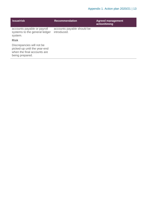| <b>Issue/risk</b>                                                                                           | <b>Recommendation</b>                     | <b>Agreed management</b><br>action/timing |
|-------------------------------------------------------------------------------------------------------------|-------------------------------------------|-------------------------------------------|
| accounts payable or payroll<br>systems to the general ledger<br>system.                                     | accounts payable should be<br>introduced. |                                           |
| <b>Risk</b>                                                                                                 |                                           |                                           |
| Discrepancies will not be<br>picked-up until the year-end<br>when the final accounts are<br>being prepared. |                                           |                                           |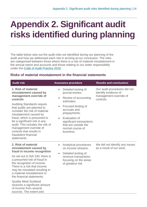# <span id="page-13-0"></span>**Appendix 2. Significant audit risks identified during planning**

The table below sets out the audit risks we identified during our planning of the audit and how we addressed each risk in arriving at our conclusion. The risks are categorised between those where there is a risk of material misstatement in the annual report and accounts and those relating to our wider responsibility under the [Code of Audit Practice 2016.](https://www.audit-scotland.gov.uk/report/code-of-audit-practice-2016)

#### **Risks of material misstatement in the financial statements**

| <b>Audit risk</b>                                                                                                                                                                                                                                                                                                                                                                                                             | <b>Assurance procedure</b>                                                                                                                                                                                                                                                                    | <b>Results and conclusions</b>                                                              |
|-------------------------------------------------------------------------------------------------------------------------------------------------------------------------------------------------------------------------------------------------------------------------------------------------------------------------------------------------------------------------------------------------------------------------------|-----------------------------------------------------------------------------------------------------------------------------------------------------------------------------------------------------------------------------------------------------------------------------------------------|---------------------------------------------------------------------------------------------|
| 1. Risk of material<br>misstatement caused by<br>management override of<br>controls<br><b>Auditing Standards require</b><br>that audits are planned to<br>consider the risk of material<br>misstatement caused by<br>fraud, which is presumed to<br>be a significant risk in any<br>audit. This includes the risk of<br>management override of<br>controls that results in<br>fraudulent financial<br>statements.             | Detailed testing of<br>$\bullet$<br>journal entries.<br>Review of accounting<br>$\bullet$<br>estimates.<br>Focused testing of<br>$\bullet$<br>accruals and<br>prepayments.<br>Evaluation of<br>$\bullet$<br>significant transactions<br>that are outside the<br>normal course of<br>business. | Our audit procedures did not<br>identify evidence of<br>management override of<br>controls. |
| 2. Risk of material<br>misstatement caused by<br>fraud in income recognition<br>As set out in ISA 240, there is<br>a presumed risk of fraud in<br>the recognition of income.<br>There is a risk that income<br>may be misstated resulting in<br>a material misstatement in<br>the financial statements.<br><b>Quality Meat Scotland</b><br>receives a significant amount<br>of income from several<br>sources. The extent and | Analytical procedures<br>$\bullet$<br>on income streams.<br>Detailed testing of<br>$\bullet$<br>revenue transactions<br>focusing on the areas<br>of greatest risk.                                                                                                                            | We did not identify any issues<br>as a result of our work.                                  |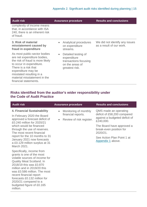| <b>Audit risk</b>                                                                                                                                                                                                                                              | <b>Assurance procedure</b>                                                                                    | <b>Results and conclusions</b>                             |
|----------------------------------------------------------------------------------------------------------------------------------------------------------------------------------------------------------------------------------------------------------------|---------------------------------------------------------------------------------------------------------------|------------------------------------------------------------|
| complexity of income means<br>that, in accordance with ISA<br>240, there is an inherent risk<br>of fraud.                                                                                                                                                      |                                                                                                               |                                                            |
| 3. Risk of material<br>misstatement caused by<br>fraud in expenditure                                                                                                                                                                                          | Analytical procedures<br>$\bullet$<br>on expenditure<br>streams.                                              | We did not identify any issues<br>as a result of our work. |
| As most public-sector bodies<br>are net expenditure bodies,<br>the risk of fraud is more likely<br>to occur in expenditure.<br>There is a risk that<br>expenditure may be<br>misstated resulting in a<br>material misstatement in the<br>financial statements. | Detailed testing of<br>$\bullet$<br>expenditure<br>transactions focusing<br>on the areas of<br>greatest risk. |                                                            |

#### **Risks identified from the auditor's wider responsibility under the Code of Audit Practice**

| <b>Audit risk</b>                                                                                                                                                                                                                                                                                                                                   | <b>Assurance procedure</b>                                                                        | <b>Results and conclusions</b>                                                                                                                                                                                            |
|-----------------------------------------------------------------------------------------------------------------------------------------------------------------------------------------------------------------------------------------------------------------------------------------------------------------------------------------------------|---------------------------------------------------------------------------------------------------|---------------------------------------------------------------------------------------------------------------------------------------------------------------------------------------------------------------------------|
| <b>4. Financial Sustainability</b><br>In February 2020 the Board<br>approved a forecast deficit of<br>£0.240 million for 2020/21<br>which would be financed<br>through the use of reserves.<br>The most recent financial<br>report for the 10 months to 31<br>January 2021 now forecasts<br>a £0.129 million surplus at 31<br>March 2021.           | Monitoring of monthly<br>$\bullet$<br>financial reports.<br>Review of risk register.<br>$\bullet$ | QMS made an operating<br>deficit of £58,200 compared<br>against a budgeted deficit of<br>£240,000.<br>The Board have approved a<br>break-even position for<br>2020/21.<br>See Action Plan Point 1 at<br>Appendix 1 above. |
| Specifically, income from<br>grants is one of the most<br>volatile sources of income for<br><b>Quality Meat Scotland. In</b><br>2018/19 this was £0,870<br>million and in 2019/20 this<br>was £0.586 million. The most<br>recent financial report<br>forecasts £0.132 million for<br>2020/21 compared to a<br>budgeted figure of £0.165<br>million. |                                                                                                   |                                                                                                                                                                                                                           |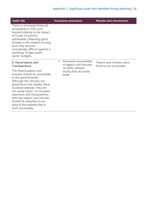| <b>Audit risk</b>                                                                                                                                                                                                                                                                                                                                                                                 | <b>Assurance procedure</b>                                                                                        | <b>Results and conclusions</b>                     |
|---------------------------------------------------------------------------------------------------------------------------------------------------------------------------------------------------------------------------------------------------------------------------------------------------------------------------------------------------------------------------------------------------|-------------------------------------------------------------------------------------------------------------------|----------------------------------------------------|
| There is increased financial<br>uncertainty in 2021 and<br>beyond relating to the impact<br>of Covid-19 and EU<br>withdrawal. Obtaining grant<br>funding in the medium to long<br>term may become<br>increasingly difficult against a<br>backdrop of tight public<br>sector budgets.                                                                                                              |                                                                                                                   |                                                    |
| 5. Governance and<br><b>Transparency</b><br>The Board papers and<br>minutes should be accessible<br>to the general public.<br>Although the minutes are<br>attached on the Quality Meat<br>Scotland website, they are<br>not easily found. To increase<br>openness and transparency,<br>both the papers and minutes<br>should be attached on an<br>area of the website that is<br>more accessible. | Reviewed accessibility<br>$\bullet$<br>of papers and minutes<br>on QMS website<br>during final accounts<br>audit. | Papers and minutes were<br>found to be accessible. |